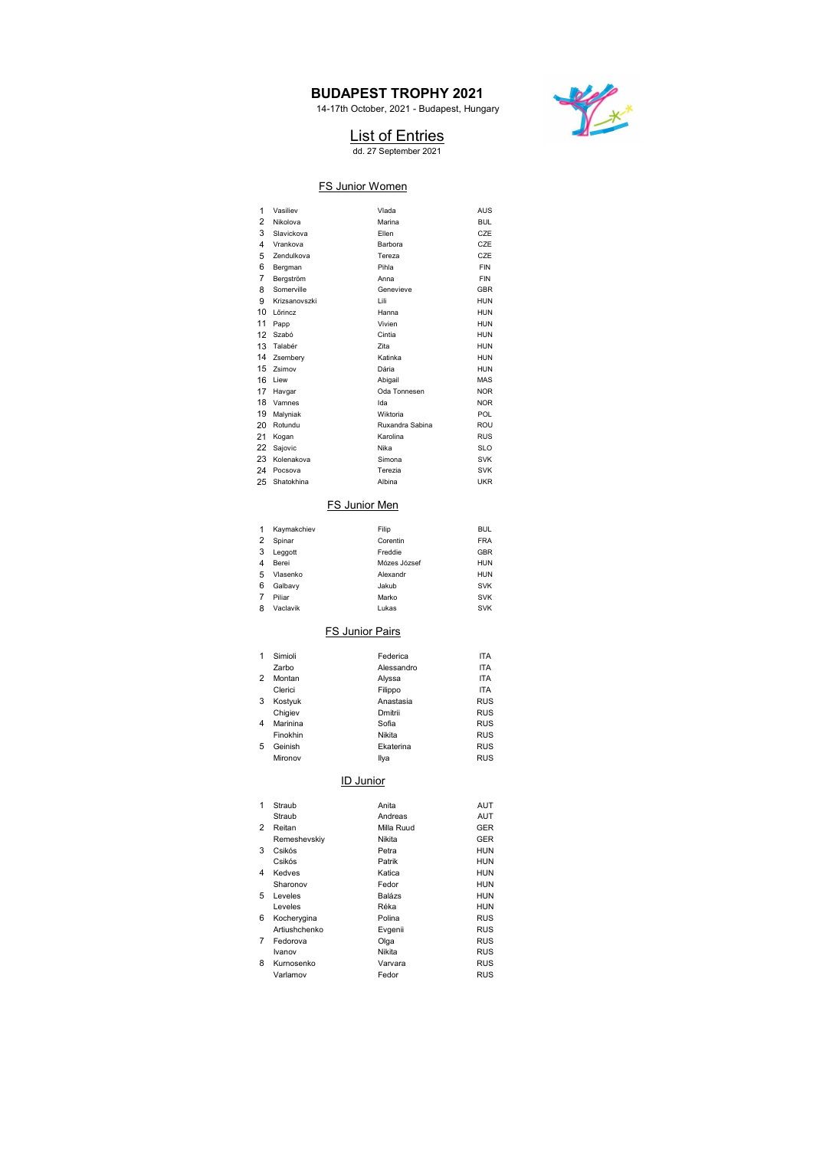### BUDAPEST TROPHY 2021

14-17th October, 2021 - Budapest, Hungary



# List of Entries

dd. 27 September 2021

## FS Junior Women

| 1  | Vasiliev      | Vlada           | <b>AUS</b> |
|----|---------------|-----------------|------------|
| 2  | Nikolova      | Marina          | <b>BUL</b> |
| 3  | Slavickova    | Ellen           | CZE        |
| 4  | Vrankova      | Barbora         | CZE        |
| 5  | Zendulkova    | Tereza          | CZE        |
| 6  | Bergman       | Pihla           | <b>FIN</b> |
| 7  | Bergström     | Anna            | <b>FIN</b> |
| 8  | Somerville    | Genevieve       | <b>GBR</b> |
| 9  | Krizsanovszki | Lili            | <b>HUN</b> |
| 10 | Lőrincz       | Hanna           | <b>HUN</b> |
| 11 | Papp          | Vivien          | <b>HUN</b> |
| 12 | Szabó         | Cintia          | <b>HUN</b> |
| 13 | Talabér       | <b>Zita</b>     | <b>HUN</b> |
| 14 | Zsembery      | Katinka         | <b>HUN</b> |
| 15 | Zsirnov       | Dária           | <b>HUN</b> |
| 16 | Liew          | Abigail         | MAS        |
| 17 | Havgar        | Oda Tonnesen    | <b>NOR</b> |
| 18 | Vamnes        | Ida             | <b>NOR</b> |
| 19 | Malyniak      | Wiktoria        | <b>POL</b> |
| 20 | Rotundu       | Ruxandra Sabina | ROU        |
| 21 | Kogan         | Karolina        | <b>RUS</b> |
| 22 | Sajovic       | Nika            | <b>SLO</b> |
| 23 | Kolenakova    | Simona          | <b>SVK</b> |
| 24 | Pocsova       | Terezia         | <b>SVK</b> |
| 25 | Shatokhina    | Albina          | UKR        |
|    |               |                 |            |

## FS Junior Men

| 1 | Kaymakchiev | Filip        | <b>BUL</b> |
|---|-------------|--------------|------------|
| 2 | Spinar      | Corentin     | <b>FRA</b> |
| 3 | Leggott     | Freddie      | <b>GBR</b> |
| 4 | Berei       | Mózes József | <b>HUN</b> |
| 5 | Vlasenko    | Alexandr     | <b>HUN</b> |
| 6 | Galbavy     | Jakub        | <b>SVK</b> |
|   | Piliar      | Marko        | <b>SVK</b> |
| 8 | Vaclavik    | Lukas        | <b>SVK</b> |

## **FS Junior Pairs**

| 1 | Simioli  | Federica   | <b>ITA</b> |
|---|----------|------------|------------|
|   | Zarbo    | Alessandro | <b>ITA</b> |
| 2 | Montan   | Alyssa     | <b>ITA</b> |
|   | Clerici  | Filippo    | <b>ITA</b> |
| 3 | Kostyuk  | Anastasia  | <b>RUS</b> |
|   | Chigiev  | Dmitrii    | <b>RUS</b> |
| 4 | Marinina | Sofia      | <b>RUS</b> |
|   | Finokhin | Nikita     | <b>RUS</b> |
| 5 | Geinish  | Ekaterina  | <b>RUS</b> |
|   | Mironov  | Ilya       | <b>RUS</b> |

#### ID Junior

| 1 | Straub        | Anita      | AUT        |
|---|---------------|------------|------------|
|   | Straub        | Andreas    | AUT        |
| 2 | Reitan        | Milla Ruud | <b>GER</b> |
|   | Remeshevskiy  | Nikita     | <b>GER</b> |
| 3 | Csikós        | Petra      | <b>HUN</b> |
|   | Csikós        | Patrik     | HUN        |
| 4 | Kedves        | Katica     | <b>HUN</b> |
|   | Sharonov      | Fedor      | HUN        |
| 5 | Leveles       | Balázs     | HUN        |
|   | Leveles       | Réka       | <b>HUN</b> |
| 6 | Kocherygina   | Polina     | <b>RUS</b> |
|   | Artiushchenko | Evgenii    | <b>RUS</b> |
| 7 | Fedorova      | Olga       | <b>RUS</b> |
|   | Ivanov        | Nikita     | <b>RUS</b> |
| 8 | Kurnosenko    | Varvara    | <b>RUS</b> |
|   | Varlamov      | Fedor      | <b>RUS</b> |
|   |               |            |            |